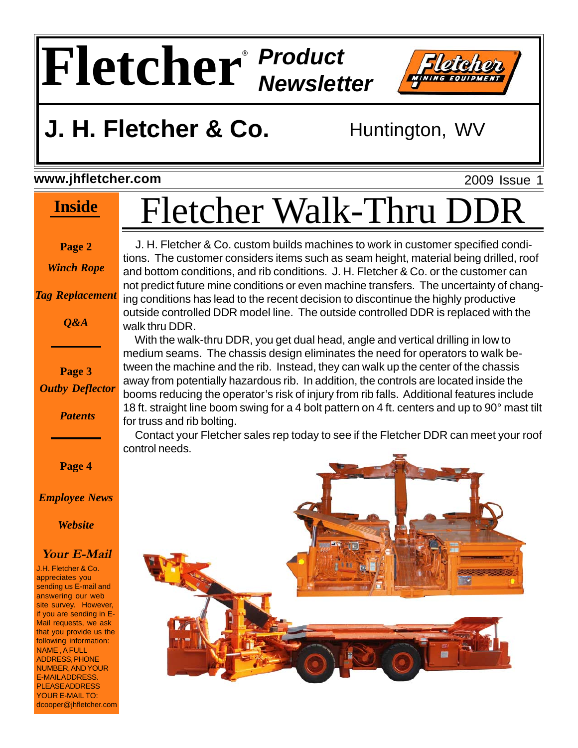### **Fletcher** *Product Newsletter* ®



### **J. H. Fletcher & Co.** Huntington, WV

#### **www.jhfletcher.com**

#### **Inside**

2009 Issue 1

#### **Page 2**

*Winch Rope*

*Tag Replacement*

*Q&A*

**Page 3** *Outby Deflector*

*Patents*

**Page 4**

*Employee News*

*Website*

#### **Your E-Mail**

J.H. Fletcher & Co. appreciates you sending us E-mail and answering our web site survey. However, if you are sending in E-Mail requests, we ask that you provide us the following information: NAME , A FULL ADDRESS, PHONE NUMBER, AND YOUR E-MAIL ADDRESS. PLEASE ADDRESS YOUR E-MAIL TO: dcooper@jhfletcher.com Fletcher Walk-Thru DI

 J. H. Fletcher & Co. custom builds machines to work in customer specified conditions. The customer considers items such as seam height, material being drilled, roof and bottom conditions, and rib conditions. J. H. Fletcher & Co. or the customer can not predict future mine conditions or even machine transfers. The uncertainty of changing conditions has lead to the recent decision to discontinue the highly productive outside controlled DDR model line. The outside controlled DDR is replaced with the walk thru DDR.

 With the walk-thru DDR, you get dual head, angle and vertical drilling in low to medium seams. The chassis design eliminates the need for operators to walk between the machine and the rib. Instead, they can walk up the center of the chassis away from potentially hazardous rib. In addition, the controls are located inside the booms reducing the operator's risk of injury from rib falls. Additional features include 18 ft. straight line boom swing for a 4 bolt pattern on 4 ft. centers and up to 90° mast tilt for truss and rib bolting.

 Contact your Fletcher sales rep today to see if the Fletcher DDR can meet your roof control needs.

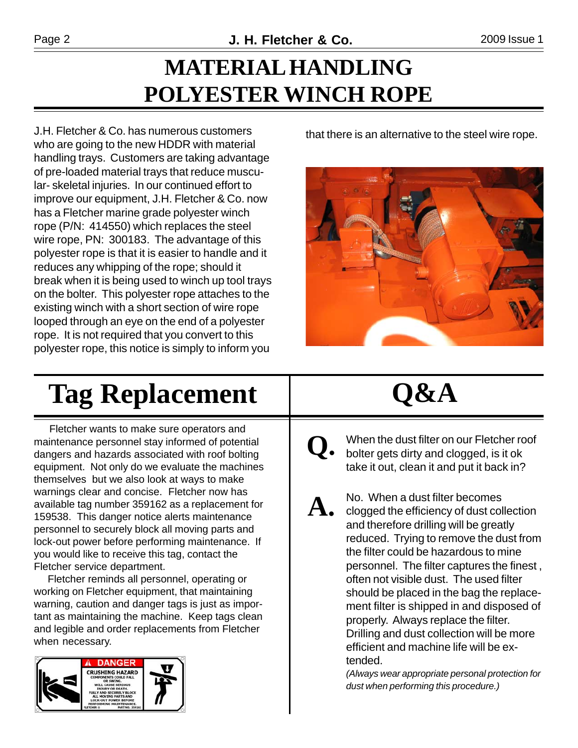### **MATERIAL HANDLING POLYESTER WINCH ROPE**

J.H. Fletcher & Co. has numerous customers who are going to the new HDDR with material handling trays. Customers are taking advantage of pre-loaded material trays that reduce muscular- skeletal injuries. In our continued effort to improve our equipment, J.H. Fletcher & Co. now has a Fletcher marine grade polyester winch rope (P/N: 414550) which replaces the steel wire rope, PN: 300183. The advantage of this polyester rope is that it is easier to handle and it reduces any whipping of the rope; should it break when it is being used to winch up tool trays on the bolter. This polyester rope attaches to the existing winch with a short section of wire rope looped through an eye on the end of a polyester rope. It is not required that you convert to this polyester rope, this notice is simply to inform you

that there is an alternative to the steel wire rope.



## **Tag Replacement**

 Fletcher wants to make sure operators and maintenance personnel stay informed of potential dangers and hazards associated with roof bolting equipment. Not only do we evaluate the machines themselves but we also look at ways to make warnings clear and concise. Fletcher now has available tag number 359162 as a replacement for 159538. This danger notice alerts maintenance personnel to securely block all moving parts and lock-out power before performing maintenance. If you would like to receive this tag, contact the Fletcher service department.

 Fletcher reminds all personnel, operating or working on Fletcher equipment, that maintaining warning, caution and danger tags is just as important as maintaining the machine. Keep tags clean and legible and order replacements from Fletcher when necessary.



## **Q&A**

- When the dust filter on our Fletcher roof bolter gets dirty and clogged, is it ok take it out, clean it and put it back in? **Q.**
- ${\bf A}$   $\bullet$   $\,$  No. When a dust filter becomes close of dust collection and therefore drilling will be greatly reduced. Trying to remove the dust from the filter could be hazardous to mine personnel. The filter captures the finest , often not visible dust. The used filter should be placed in the bag the replacement filter is shipped in and disposed of properly. Always replace the filter. Drilling and dust collection will be more efficient and machine life will be extended.

*(Always wear appropriate personal protection for dust when performing this procedure.)*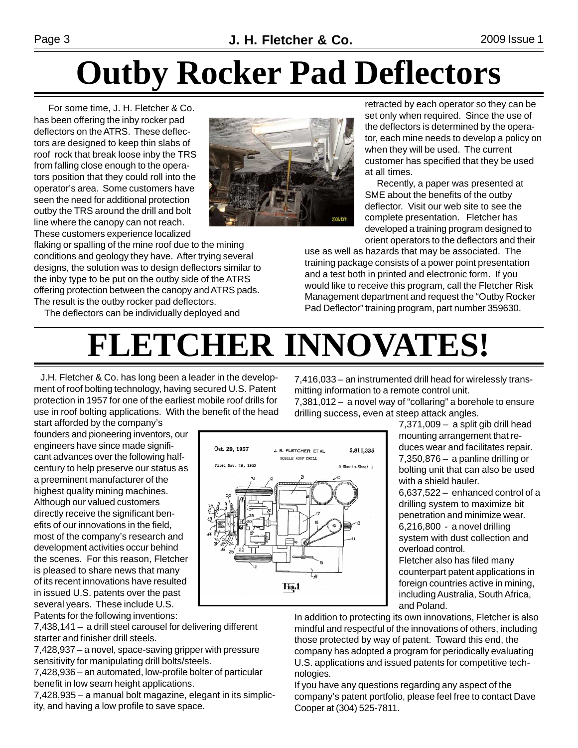## **Outby Rocker Pad Deflectors**

 For some time, J. H. Fletcher & Co. has been offering the inby rocker pad deflectors on the ATRS. These deflectors are designed to keep thin slabs of roof rock that break loose inby the TRS from falling close enough to the operators position that they could roll into the operator's area. Some customers have seen the need for additional protection outby the TRS around the drill and bolt line where the canopy can not reach. These customers experience localized



flaking or spalling of the mine roof due to the mining conditions and geology they have. After trying several designs, the solution was to design deflectors similar to the inby type to be put on the outby side of the ATRS offering protection between the canopy and ATRS pads. The result is the outby rocker pad deflectors.

The deflectors can be individually deployed and

retracted by each operator so they can be set only when required. Since the use of the deflectors is determined by the operator, each mine needs to develop a policy on when they will be used. The current customer has specified that they be used at all times.

 Recently, a paper was presented at SME about the benefits of the outby deflector. Visit our web site to see the complete presentation. Fletcher has developed a training program designed to orient operators to the deflectors and their

use as well as hazards that may be associated. The training package consists of a power point presentation and a test both in printed and electronic form. If you would like to receive this program, call the Fletcher Risk Management department and request the "Outby Rocker Pad Deflector" training program, part number 359630.

# **FLETCHER INNOVATES!**

Hō.1

Oct. 29, 1957

Filed Nov. 19, 1952

 J.H. Fletcher & Co. has long been a leader in the development of roof bolting technology, having secured U.S. Patent protection in 1957 for one of the earliest mobile roof drills for use in roof bolting applications. With the benefit of the head 7,416,033 – an instrumented drill head for wirelessly transmitting information to a remote control unit. 7,381,012 – a novel way of "collaring" a borehole to ensure

drilling success, even at steep attack angles. 7,371,009 – a split gib drill head

start afforded by the company's founders and pioneering inventors, our engineers have since made significant advances over the following halfcentury to help preserve our status as a preeminent manufacturer of the highest quality mining machines. Although our valued customers directly receive the significant benefits of our innovations in the field, most of the company's research and development activities occur behind the scenes. For this reason, Fletcher is pleased to share news that many of its recent innovations have resulted in issued U.S. patents over the past several years. These include U.S. Patents for the following inventions:

7,438,141 – a drill steel carousel for delivering different starter and finisher drill steels.

7,428,937 – a novel, space-saving gripper with pressure sensitivity for manipulating drill bolts/steels.

7,428,936 – an automated, low-profile bolter of particular benefit in low seam height applications.

7,428,935 – a manual bolt magazine, elegant in its simplicity, and having a low profile to save space.

mounting arrangement that reduces wear and facilitates repair. 2811335 J. R. FLETCHER ET AL 7,350,876 – a panline drilling or MORTLE ROOF DRILL 5 Sheets-Sheet 1 bolting unit that can also be used with a shield hauler. 6,637,522 – enhanced control of a drilling system to maximize bit

penetration and minimize wear. 6,216,800 - a novel drilling system with dust collection and overload control.

Fletcher also has filed many counterpart patent applications in foreign countries active in mining, including Australia, South Africa, and Poland.

In addition to protecting its own innovations, Fletcher is also mindful and respectful of the innovations of others, including those protected by way of patent. Toward this end, the company has adopted a program for periodically evaluating U.S. applications and issued patents for competitive technologies.

If you have any questions regarding any aspect of the company's patent portfolio, please feel free to contact Dave Cooper at (304) 525-7811.